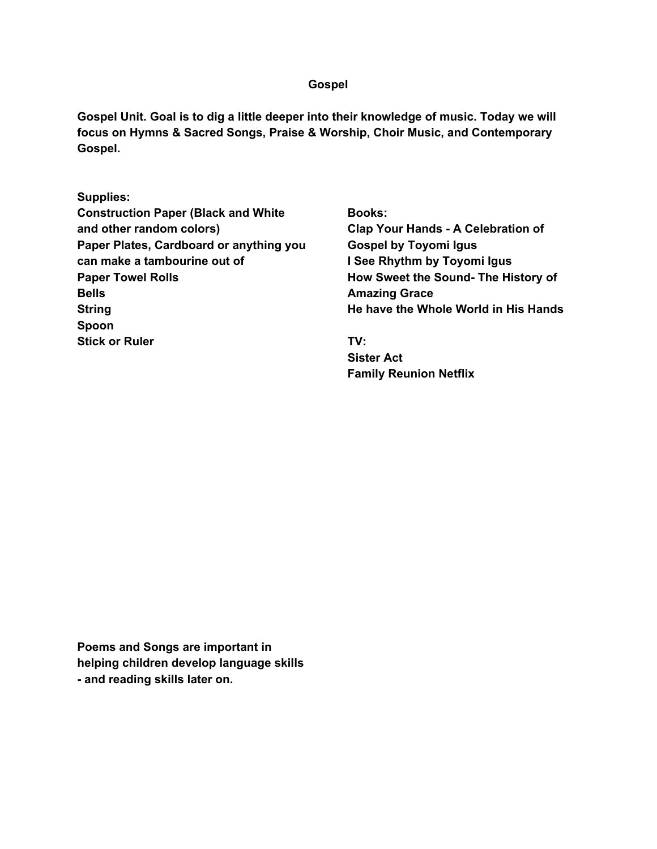**Gospel**

**Gospel Unit. Goal is to dig a little deeper into their knowledge of music. Today we will focus on Hymns & Sacred Songs, Praise & Worship, Choir Music, and Contemporary Gospel.**

**Supplies: Construction Paper (Black and White and other random colors) Paper Plates, Cardboard or anything you can make a tambourine out of Paper Towel Rolls Bells String Spoon Stick or Ruler**

**Books:**

**Clap Your Hands - A Celebration of Gospel by Toyomi Igus I See Rhythm by Toyomi Igus How Sweet the Sound- The History of Amazing Grace He have the Whole World in His Hands**

**TV: Sister Act Family Reunion Netflix**

**Poems and Songs are important in helping children develop language skills - and reading skills later on.**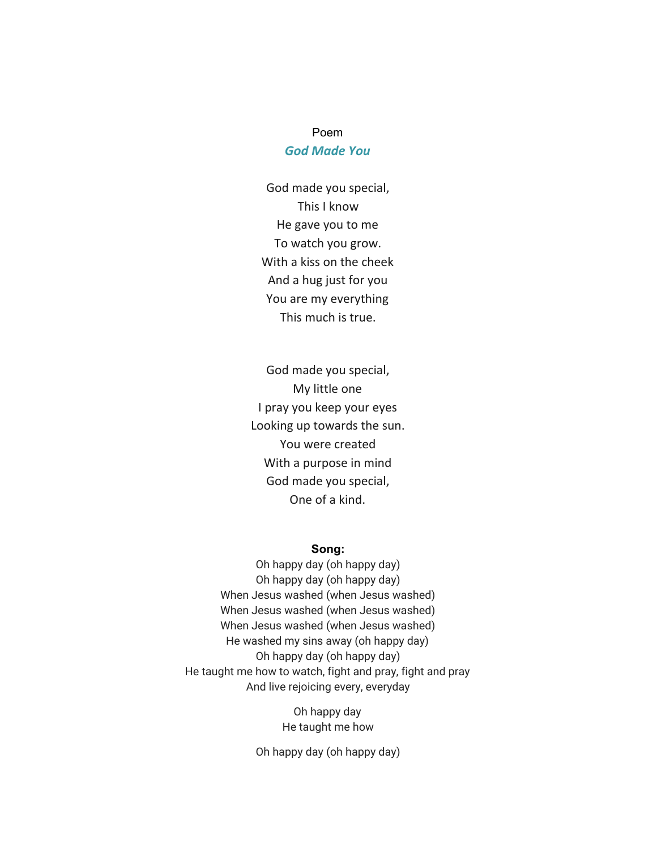## Poem

## *God Made You*

God made you special, This I know He gave you to me To watch you grow. With a kiss on the cheek And a hug just for you You are my everything This much is true.

God made you special, My little one I pray you keep your eyes Looking up towards the sun. You were created With a purpose in mind God made you special, One of a kind.

#### **Song:**

Oh happy day (oh happy day) Oh happy day (oh happy day) When Jesus washed (when Jesus washed) When Jesus washed (when Jesus washed) When Jesus washed (when Jesus washed) He washed my sins away (oh happy day) Oh happy day (oh happy day) He taught me how to watch, fight and pray, fight and pray And live rejoicing every, everyday

> Oh happy day He taught me how

Oh happy day (oh happy day)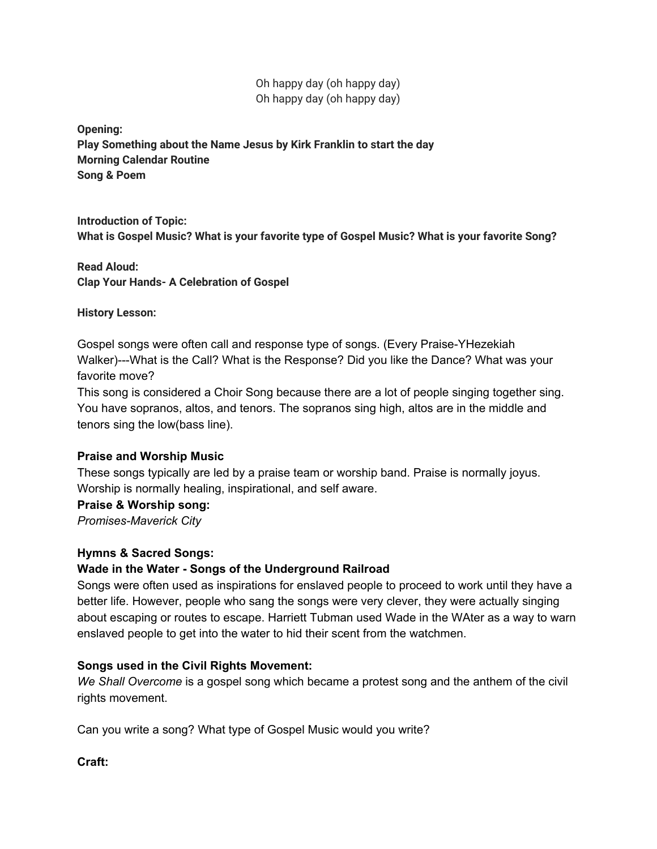Oh happy day (oh happy day) Oh happy day (oh happy day)

**Opening: Play Something about the Name Jesus by Kirk Franklin to start the day Morning Calendar Routine Song & Poem**

**Introduction of Topic: What is Gospel Music? What is your favorite type of Gospel Music? What is your favorite Song?**

**Read Aloud: Clap Your Hands- A Celebration of Gospel**

**History Lesson:**

Gospel songs were often call and response type of songs. (Every Praise-YHezekiah Walker)---What is the Call? What is the Response? Did you like the Dance? What was your favorite move?

This song is considered a Choir Song because there are a lot of people singing together sing. You have sopranos, altos, and tenors. The sopranos sing high, altos are in the middle and tenors sing the low(bass line).

# **Praise and Worship Music**

These songs typically are led by a praise team or worship band. Praise is normally joyus. Worship is normally healing, inspirational, and self aware.

## **Praise & Worship song:**

*Promises-Maverick City*

# **Hymns & Sacred Songs:**

# **Wade in the Water - Songs of the Underground Railroad**

Songs were often used as inspirations for enslaved people to proceed to work until they have a better life. However, people who sang the songs were very clever, they were actually singing about escaping or routes to escape. Harriett Tubman used Wade in the WAter as a way to warn enslaved people to get into the water to hid their scent from the watchmen.

# **Songs used in the Civil Rights Movement:**

*We Shall Overcome* is a gospel song which became a protest song and the anthem of the civil rights movement.

Can you write a song? What type of Gospel Music would you write?

**Craft:**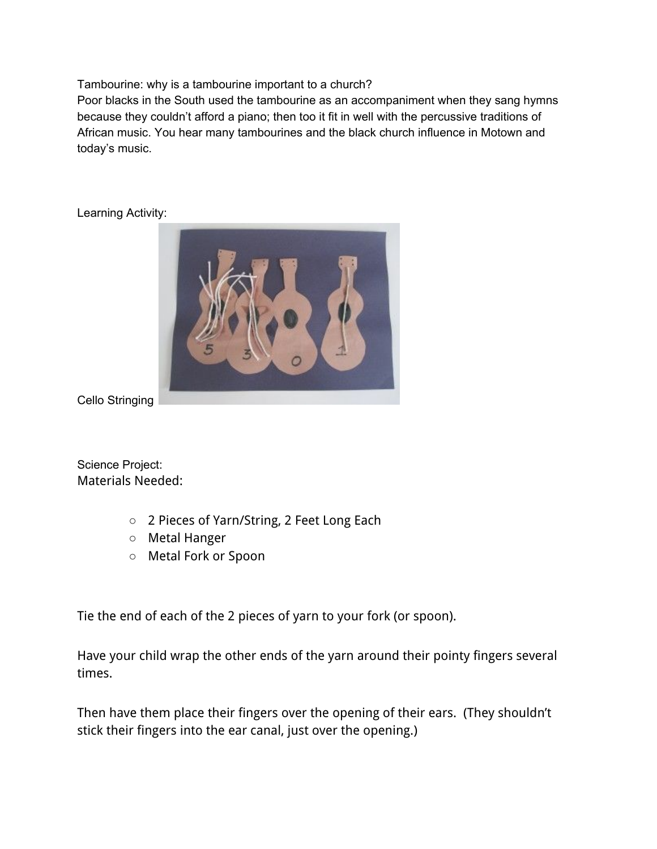Tambourine: why is a tambourine important to a church?

Poor blacks in the South used the tambourine as an accompaniment when they sang hymns because they couldn't afford a piano; then too it fit in well with the percussive traditions of African music. You hear many tambourines and the black church influence in Motown and today's music.

Learning Activity:



Cello Stringing

Science Project: Materials Needed:

- 2 Pieces of Yarn/String, 2 Feet Long Each
- Metal Hanger
- Metal Fork or Spoon

Tie the end of each of the 2 pieces of yarn to your fork (or spoon).

Have your child wrap the other ends of the yarn around their pointy fingers several times.

Then have them place their fingers over the opening of their ears. (They shouldn't stick their fingers into the ear canal, just over the opening.)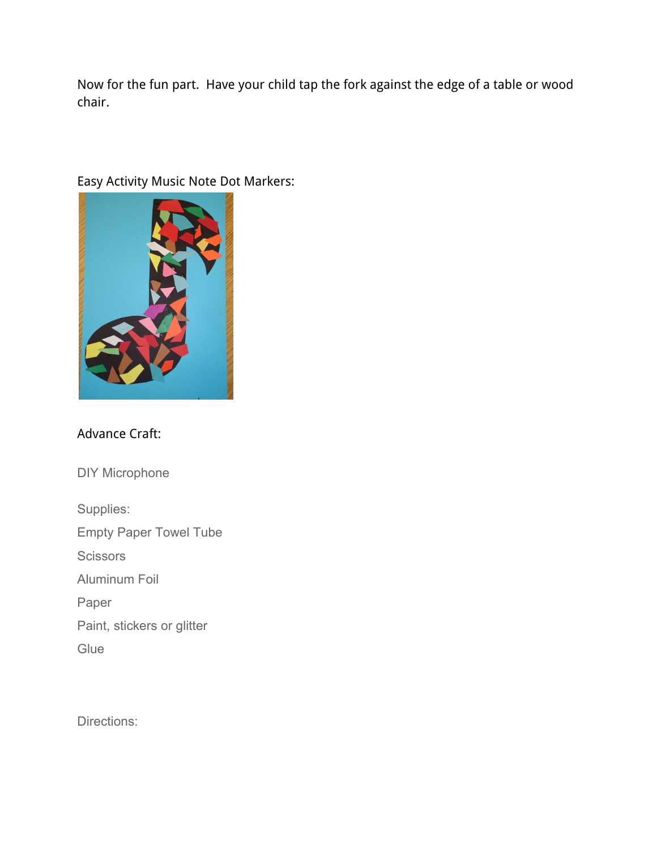Now for the fun part. Have your child tap the fork against the edge of a table or wood chair.



Easy Activity Music Note Dot Markers:

# Advance Craft:

DIY Microphone

Supplies:

Empty Paper Towel Tube

**Scissors** 

Aluminum Foil

Paper

Paint, stickers or glitter

Glue

Directions: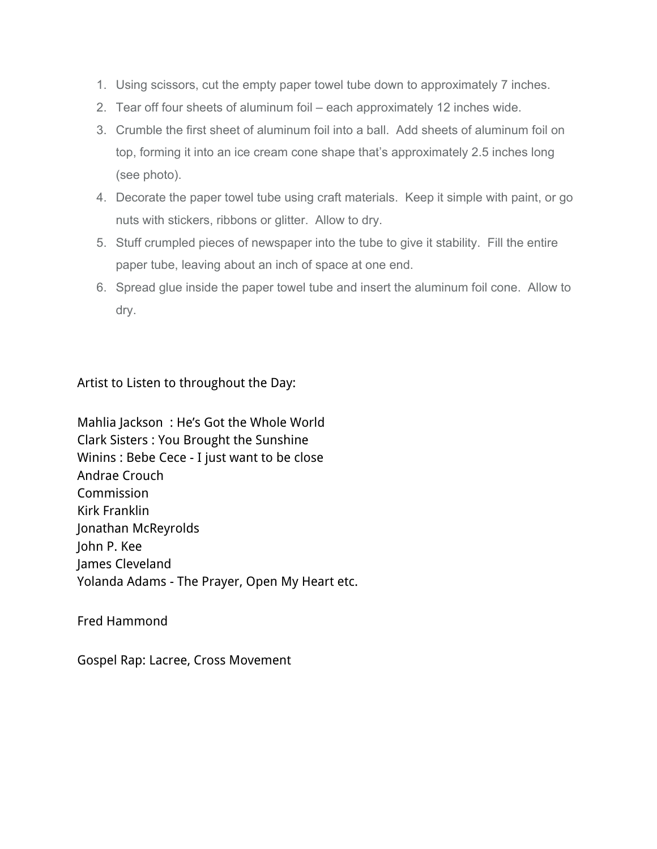- 1. Using scissors, cut the empty paper towel tube down to approximately 7 inches.
- 2. Tear off four sheets of aluminum foil each approximately 12 inches wide.
- 3. Crumble the first sheet of aluminum foil into a ball. Add sheets of aluminum foil on top, forming it into an ice cream cone shape that's approximately 2.5 inches long (see photo).
- 4. Decorate the paper towel tube using craft materials. Keep it simple with paint, or go nuts with stickers, ribbons or glitter. Allow to dry.
- 5. Stuff crumpled pieces of newspaper into the tube to give it stability. Fill the entire paper tube, leaving about an inch of space at one end.
- 6. Spread glue inside the paper towel tube and insert the aluminum foil cone. Allow to dry.

# Artist to Listen to throughout the Day:

Mahlia Jackson : He's Got the Whole World Clark Sisters : You Brought the Sunshine Winins : Bebe Cece - I just want to be close Andrae Crouch Commission Kirk Franklin Jonathan McReyrolds John P. Kee James Cleveland Yolanda Adams - The Prayer, Open My Heart etc.

Fred Hammond

Gospel Rap: Lacree, Cross Movement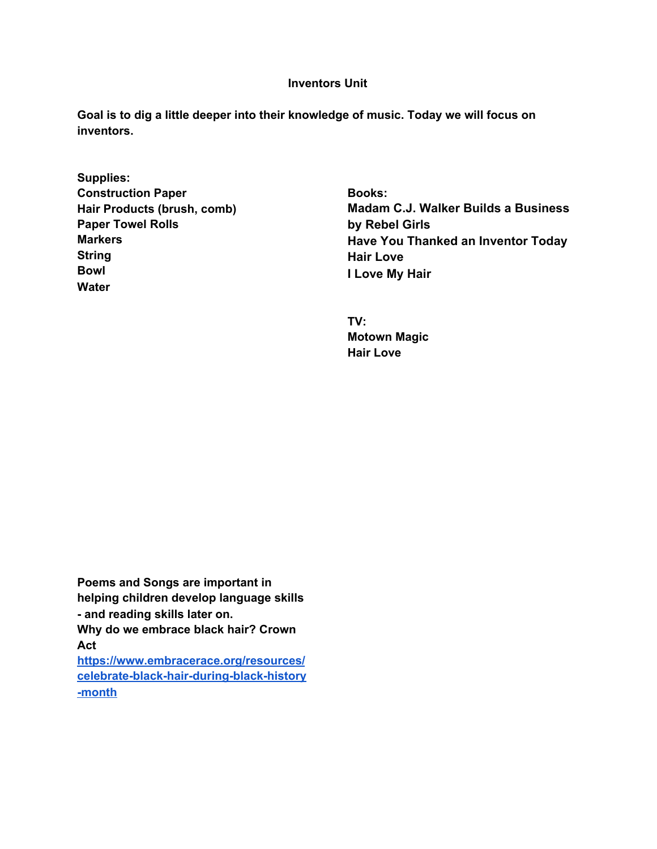### **Inventors Unit**

**Goal is to dig a little deeper into their knowledge of music. Today we will focus on inventors.**

**Supplies: Construction Paper Hair Products (brush, comb) Paper Towel Rolls Markers String Bowl Water**

**Books: Madam C.J. Walker Builds a Business by Rebel Girls Have You Thanked an Inventor Today Hair Love I Love My Hair**

**TV: Motown Magic Hair Love**

**Poems and Songs are important in helping children develop language skills - and reading skills later on. Why do we embrace black hair? Crown Act [https://www.embracerace.org/resources/](https://www.embracerace.org/resources/celebrate-black-hair-during-black-history-month) [celebrate-black-hair-during-black-history](https://www.embracerace.org/resources/celebrate-black-hair-during-black-history-month) [-month](https://www.embracerace.org/resources/celebrate-black-hair-during-black-history-month)**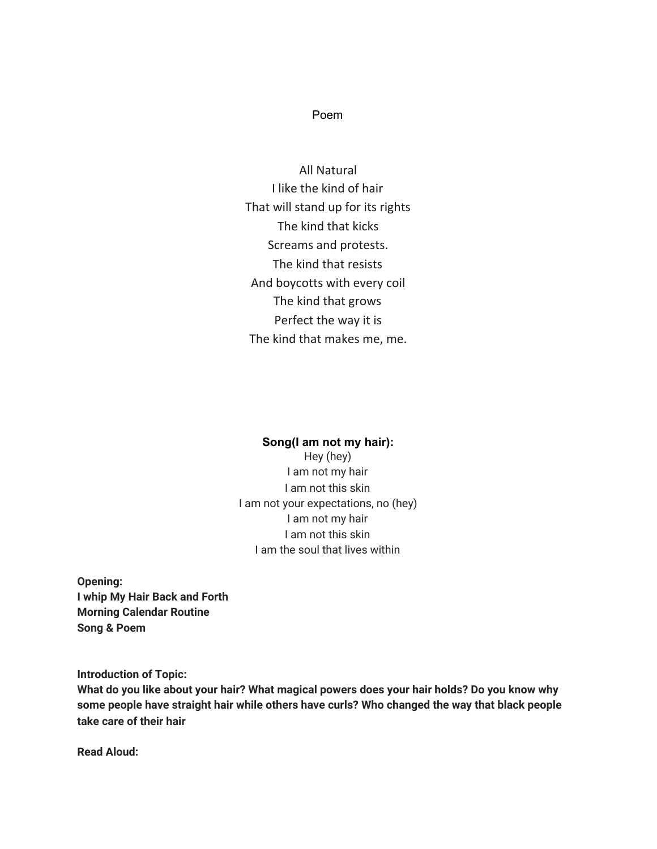#### Poem

All Natural I like the kind of hair That will stand up for its rights The kind that kicks Screams and protests. The kind that resists And boycotts with every coil The kind that grows Perfect the way it is The kind that makes me, me.

#### **Song(I am not my hair):**

Hey (hey) I am not my hair I am not this skin I am not your expectations, no (hey) I am not my hair I am not this skin I am the soul that lives within

**Opening: I whip My Hair Back and Forth Morning Calendar Routine Song & Poem**

**Introduction of Topic:**

**What do you like about your hair? What magical powers does your hair holds? Do you know why some people have straight hair while others have curls? Who changed the way that black people take care of their hair**

**Read Aloud:**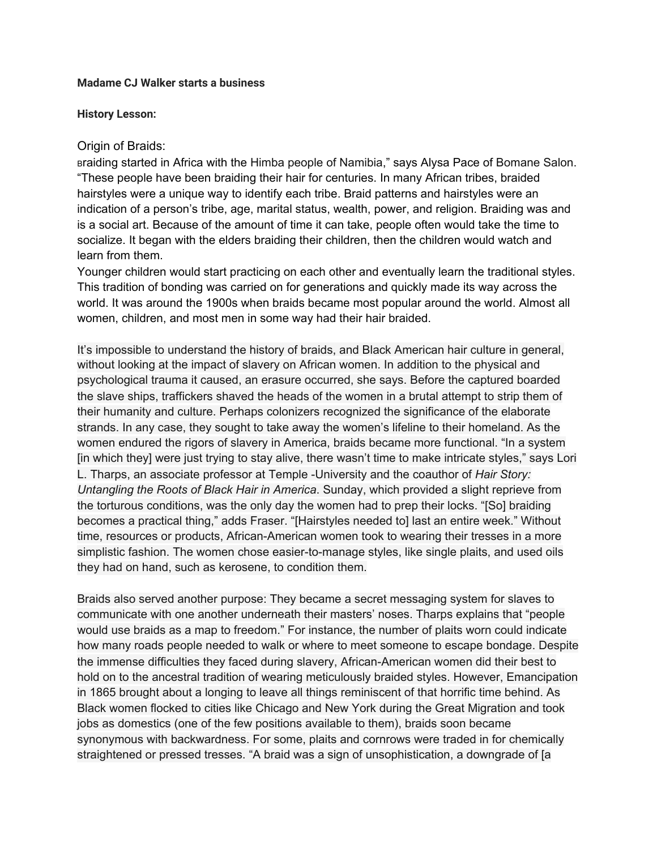#### **Madame CJ Walker starts a business**

#### **History Lesson:**

## Origin of Braids:

<sup>B</sup>raiding started in Africa with the Himba people of [Namibia,](https://www.ancient-origins.net/news-history-ancient-traditions/braided-rapunzels-namibia-every-stage-life-reflected-their-hair-021501)" says Alysa Pace of [Bomane](https://www.instagram.com/bomanesalon/?hl=en) Salon. "These people have been braiding their hair for centuries. In many African tribes, braided hairstyles were a unique way to identify each tribe. Braid patterns and hairstyles were an indication of a person's tribe, age, marital status, wealth, power, and religion. Braiding was and is a social art. Because of the amount of time it can take, people often would take the time to socialize. It began with the elders braiding their children, then the children would watch and learn from them.

Younger children would start practicing on each other and eventually learn the traditional styles. This tradition of bonding was carried on for generations and quickly made its way across the world. It was around the 1900s when braids became most popular around the world. Almost all women, children, and most men in some way had their hair braided.

It's impossible to understand the history of braids, and Black American hair culture in general, without looking at the impact of slavery on African women. In addition to the physical and psychological trauma it caused, an erasure occurred, she says. Before the captured boarded the slave ships, traffickers shaved the heads of the women in a brutal attempt to strip them of their humanity and culture. Perhaps colonizers recognized the significance of the elaborate strands. In any case, they sought to take away the women's lifeline to their homeland. As the women endured the rigors of slavery in America, braids became more functional. "In a system [in which they] were just trying to stay alive, there wasn't time to make intricate styles," says Lori L. Tharps, an associate professor at Temple -University and the coauthor of *Hair Story: Untangling the Roots of Black Hair in America*. Sunday, which provided a slight reprieve from the torturous conditions, was the only day the women had to prep their locks. "[So] braiding becomes a practical thing," adds Fraser. "[Hairstyles needed to] last an entire week." Without time, resources or products, African-American women took to wearing their tresses in a more simplistic fashion. The women chose easier-to-manage styles, like single plaits, and used oils they had on hand, such as kerosene, to condition them.

Braids also served another purpose: They became a secret messaging system for slaves to communicate with one another underneath their masters' noses. Tharps explains that "people would use braids as a map to freedom." For instance, the number of plaits worn could indicate how many roads people needed to walk or where to meet someone to escape bondage. Despite the immense difficulties they faced during slavery, African-American women did their best to hold on to the ancestral tradition of wearing meticulously braided styles. However, Emancipation in 1865 brought about a longing to leave all things reminiscent of that horrific time behind. As Black women flocked to cities like Chicago and New York during the Great Migration and took jobs as domestics (one of the few positions available to them), braids soon became synonymous with backwardness. For some, plaits and cornrows were traded in for chemically straightened or pressed tresses. "A braid was a sign of unsophistication, a downgrade of [a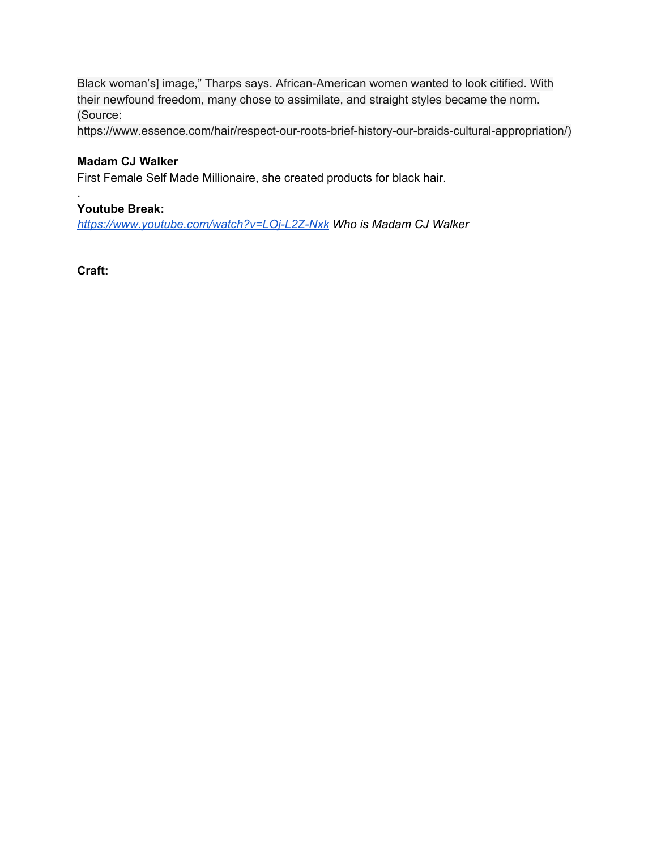Black woman's] image," Tharps says. African-American women wanted to look citified. With their newfound freedom, many chose to assimilate, and straight styles became the norm. (Source:

https://www.essence.com/hair/respect-our-roots-brief-history-our-braids-cultural-appropriation/)

## **Madam CJ Walker**

First Female Self Made Millionaire, she created products for black hair.

## **Youtube Break:**

*<https://www.youtube.com/watch?v=LOj-L2Z-Nxk> Who is Madam CJ Walker*

**Craft:**

.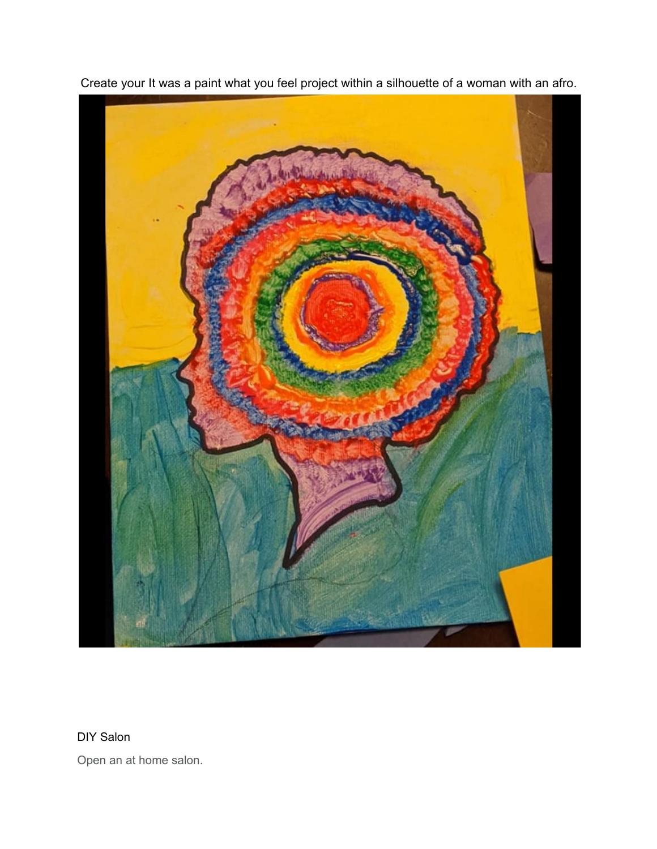

Create your It was a paint what you feel project within a silhouette of a woman with an afro.

DIY Salon

Open an at home salon.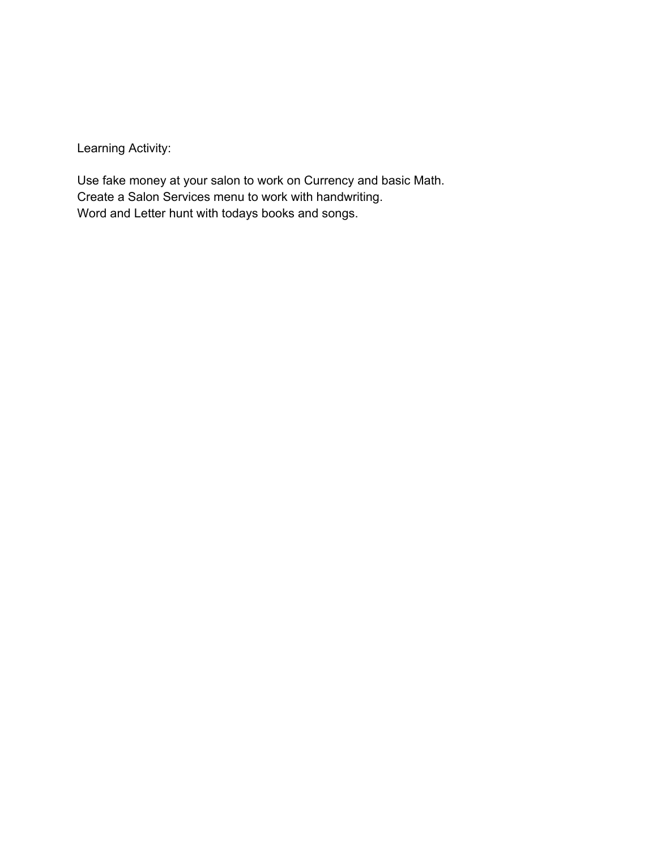Learning Activity:

Use fake money at your salon to work on Currency and basic Math. Create a Salon Services menu to work with handwriting. Word and Letter hunt with todays books and songs.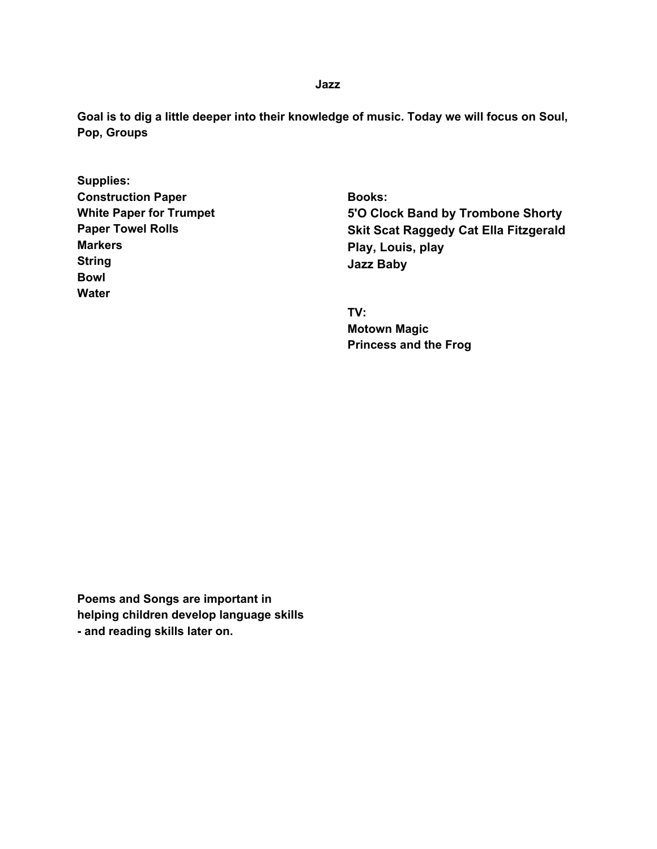**Goal is to dig a little deeper into their knowledge of music. Today we will focus on Soul, Pop, Groups**

**Supplies: Construction Paper White Paper for Trumpet Paper Towel Rolls Markers String Bowl Water**

**Books: 5'O Clock Band by Trombone Shorty Skit Scat Raggedy Cat Ella Fitzgerald Play, Louis, play Jazz Baby**

**TV: Motown Magic Princess and the Frog**

**Poems and Songs are important in helping children develop language skills - and reading skills later on.**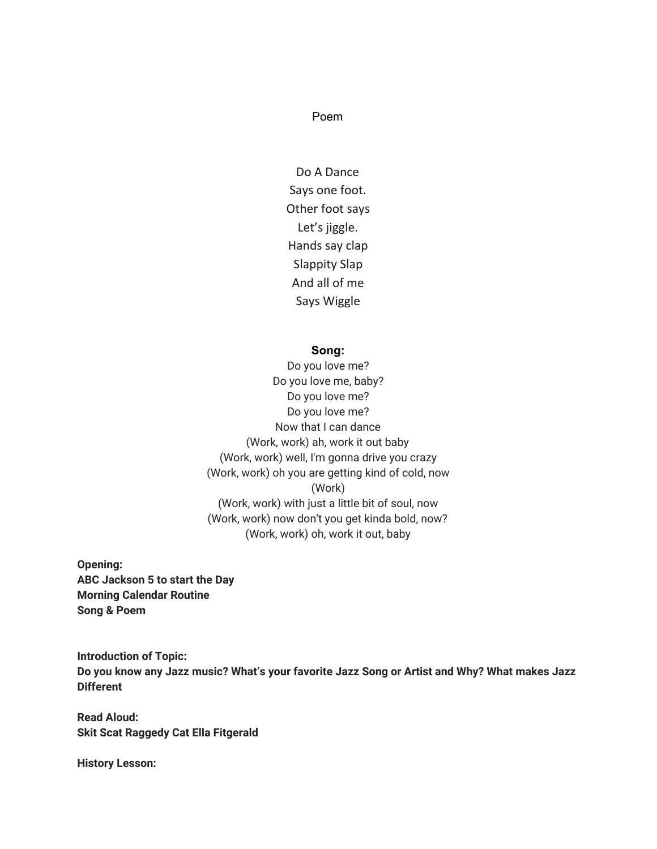Poem

Do A Dance Says one foot. Other foot says Let's jiggle. Hands say clap Slappity Slap And all of me Says Wiggle

#### **Song:**

Do you love me? Do you love me, baby? Do you love me? Do you love me? Now that I can dance (Work, work) ah, work it out baby (Work, work) well, I'm gonna drive you crazy (Work, work) oh you are getting kind of cold, now (Work) (Work, work) with just a little bit of soul, now (Work, work) now don't you get kinda bold, now? (Work, work) oh, work it out, baby

**Opening: ABC Jackson 5 to start the Day Morning Calendar Routine Song & Poem**

**Introduction of Topic: Do you know any Jazz music? What's your favorite Jazz Song or Artist and Why? What makes Jazz Different**

**Read Aloud: Skit Scat Raggedy Cat Ella Fitgerald**

**History Lesson:**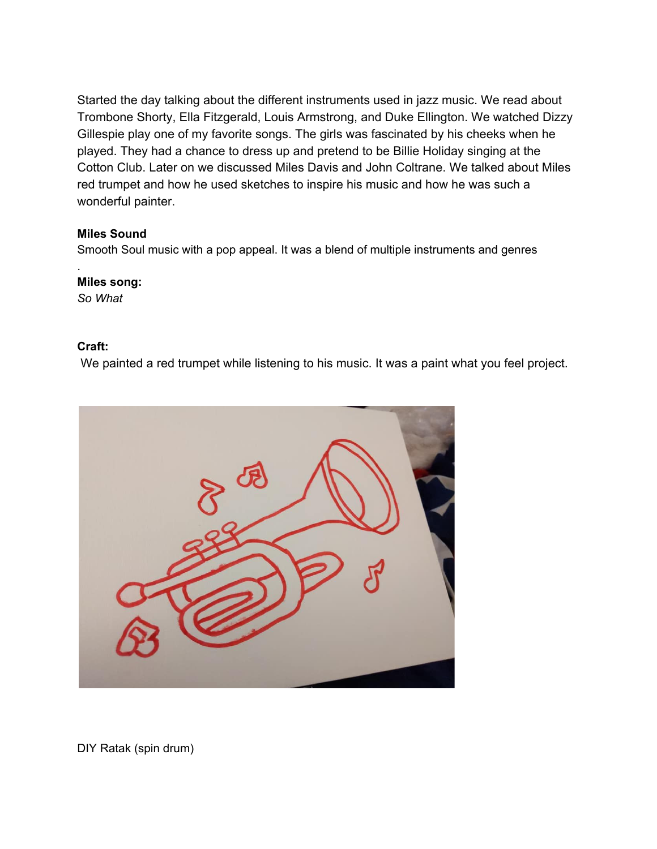Started the day talking about the different instruments used in jazz music. We read about Trombone Shorty, Ella Fitzgerald, Louis Armstrong, and Duke Ellington. We watched Dizzy Gillespie play one of my favorite songs. The girls was fascinated by his cheeks when he played. They had a chance to dress up and pretend to be Billie Holiday singing at the Cotton Club. Later on we discussed Miles Davis and John Coltrane. We talked about Miles red trumpet and how he used sketches to inspire his music and how he was such a wonderful painter.

## **Miles Sound**

Smooth Soul music with a pop appeal. It was a blend of multiple instruments and genres

# **Miles song:**

*So What*

.

## **Craft:**

We painted a red trumpet while listening to his music. It was a paint what you feel project.



DIY Ratak (spin drum)